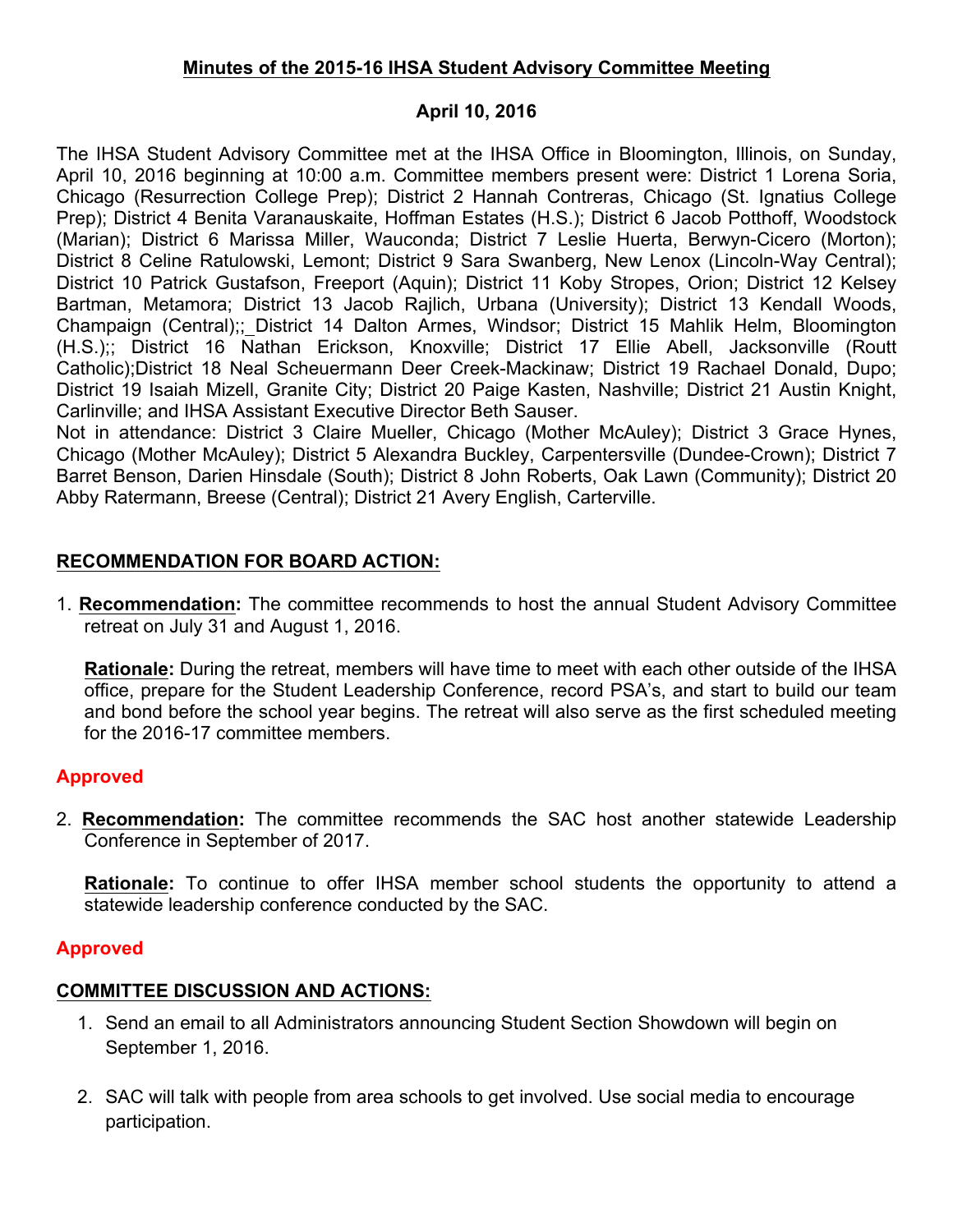## **Minutes of the 2015-16 IHSA Student Advisory Committee Meeting**

## **April 10, 2016**

The IHSA Student Advisory Committee met at the IHSA Office in Bloomington, Illinois, on Sunday, April 10, 2016 beginning at 10:00 a.m. Committee members present were: District 1 Lorena Soria, Chicago (Resurrection College Prep); District 2 Hannah Contreras, Chicago (St. Ignatius College Prep); District 4 Benita Varanauskaite, Hoffman Estates (H.S.); District 6 Jacob Potthoff, Woodstock (Marian); District 6 Marissa Miller, Wauconda; District 7 Leslie Huerta, Berwyn-Cicero (Morton); District 8 Celine Ratulowski, Lemont; District 9 Sara Swanberg, New Lenox (Lincoln-Way Central); District 10 Patrick Gustafson, Freeport (Aquin); District 11 Koby Stropes, Orion; District 12 Kelsey Bartman, Metamora; District 13 Jacob Rajlich, Urbana (University); District 13 Kendall Woods, Champaign (Central);; District 14 Dalton Armes, Windsor; District 15 Mahlik Helm, Bloomington (H.S.);; District 16 Nathan Erickson, Knoxville; District 17 Ellie Abell, Jacksonville (Routt Catholic);District 18 Neal Scheuermann Deer Creek-Mackinaw; District 19 Rachael Donald, Dupo; District 19 Isaiah Mizell, Granite City; District 20 Paige Kasten, Nashville; District 21 Austin Knight, Carlinville; and IHSA Assistant Executive Director Beth Sauser.

Not in attendance: District 3 Claire Mueller, Chicago (Mother McAuley); District 3 Grace Hynes, Chicago (Mother McAuley); District 5 Alexandra Buckley, Carpentersville (Dundee-Crown); District 7 Barret Benson, Darien Hinsdale (South); District 8 John Roberts, Oak Lawn (Community); District 20 Abby Ratermann, Breese (Central); District 21 Avery English, Carterville.

# **RECOMMENDATION FOR BOARD ACTION:**

1. **Recommendation:** The committee recommends to host the annual Student Advisory Committee retreat on July 31 and August 1, 2016.

**Rationale:** During the retreat, members will have time to meet with each other outside of the IHSA office, prepare for the Student Leadership Conference, record PSA's, and start to build our team and bond before the school year begins. The retreat will also serve as the first scheduled meeting for the 2016-17 committee members.

# **Approved**

2. **Recommendation:** The committee recommends the SAC host another statewide Leadership Conference in September of 2017.

**Rationale:** To continue to offer IHSA member school students the opportunity to attend a statewide leadership conference conducted by the SAC.

# **Approved**

# **COMMITTEE DISCUSSION AND ACTIONS:**

- 1. Send an email to all Administrators announcing Student Section Showdown will begin on September 1, 2016.
- 2. SAC will talk with people from area schools to get involved. Use social media to encourage participation.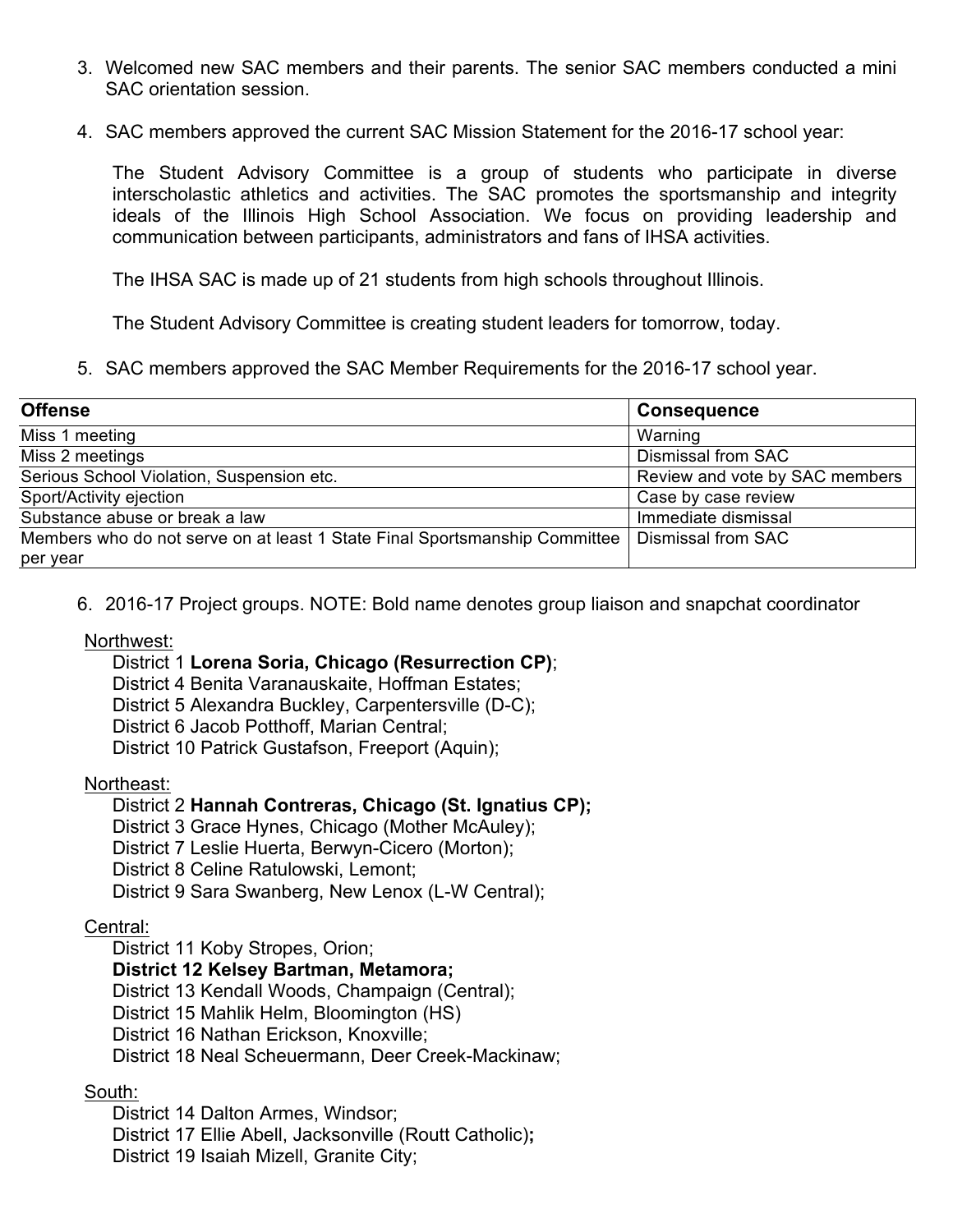- 3. Welcomed new SAC members and their parents. The senior SAC members conducted a mini SAC orientation session.
- 4. SAC members approved the current SAC Mission Statement for the 2016-17 school year:

The Student Advisory Committee is a group of students who participate in diverse interscholastic athletics and activities. The SAC promotes the sportsmanship and integrity ideals of the Illinois High School Association. We focus on providing leadership and communication between participants, administrators and fans of IHSA activities.

The IHSA SAC is made up of 21 students from high schools throughout Illinois.

The Student Advisory Committee is creating student leaders for tomorrow, today.

5. SAC members approved the SAC Member Requirements for the 2016-17 school year.

| <b>Offense</b>                                                             | <b>Consequence</b>             |
|----------------------------------------------------------------------------|--------------------------------|
| Miss 1 meeting                                                             | Warning                        |
| Miss 2 meetings                                                            | <b>Dismissal from SAC</b>      |
| Serious School Violation, Suspension etc.                                  | Review and vote by SAC members |
| Sport/Activity ejection                                                    | Case by case review            |
| Substance abuse or break a law                                             | Immediate dismissal            |
| Members who do not serve on at least 1 State Final Sportsmanship Committee | Dismissal from SAC             |
| per year                                                                   |                                |

6. 2016-17 Project groups. NOTE: Bold name denotes group liaison and snapchat coordinator

## Northwest:

#### District 1 **Lorena Soria, Chicago (Resurrection CP)**;

District 4 Benita Varanauskaite, Hoffman Estates;

District 5 Alexandra Buckley, Carpentersville (D-C);

District 6 Jacob Potthoff, Marian Central;

District 10 Patrick Gustafson, Freeport (Aquin);

#### Northeast:

## District 2 **Hannah Contreras, Chicago (St. Ignatius CP);**

District 3 Grace Hynes, Chicago (Mother McAuley);

District 7 Leslie Huerta, Berwyn-Cicero (Morton);

District 8 Celine Ratulowski, Lemont;

District 9 Sara Swanberg, New Lenox (L-W Central);

## Central:

District 11 Koby Stropes, Orion;

## **District 12 Kelsey Bartman, Metamora;**

District 13 Kendall Woods, Champaign (Central);

District 15 Mahlik Helm, Bloomington (HS)

District 16 Nathan Erickson, Knoxville;

District 18 Neal Scheuermann, Deer Creek-Mackinaw;

## South:

District 14 Dalton Armes, Windsor; District 17 Ellie Abell, Jacksonville (Routt Catholic)**;** District 19 Isaiah Mizell, Granite City;